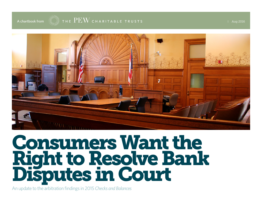

# Consumers Want the Right to Resolve Bank Disputes in Court

An update to the arbitration findings in 2015 *Checks and Balances*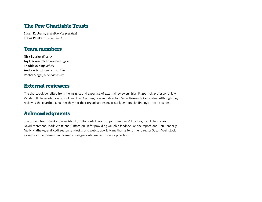## The Pew Charitable Trusts

**Susan K. Urahn,** *executive vice president* **Travis Plunkett,** *senior director*

#### Team members

**Nick Bourke,** *director*  **Joy Hackenbracht,** *research officer* **Thaddeus King,** *officer* **Andrew Scott,** *senior associate* **Rachel Siegel,** *senior associate* 

#### External reviewers

The chartbook benefited from the insights and expertise of external reviewers Brian Fitzpatrick, professor of law, Vanderbilt University Law School, and Fred Gaudios, research director, Zeldis Research Associates. Although they reviewed the chartbook, neither they nor their organizations necessarily endorse its findings or conclusions.

#### Acknowledgments

The project team thanks Steven Abbott, Sultana Ali, Erika Compart, Jennifer V. Doctors, Carol Hutchinson, David Merchant, Mark Wolff, and Clifford Zukin for providing valuable feedback on the report, and Dan Benderly, Molly Mathews, and Kodi Seaton for design and web support. Many thanks to former director Susan Weinstock as well as other current and former colleagues who made this work possible.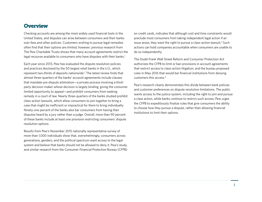#### **Overview**

Checking accounts are among the most widely used financial tools in the United States, and disputes can arise between consumers and their banks over fees and other policies. Customers wishing to pursue legal remedies often find that their options are limited, however; previous research from The Pew Charitable Trusts shows that many account agreements restrict the legal recourse available to consumers who have disputes with their banks.<sup>1</sup>

Each year since 2013, Pew has evaluated the dispute resolution policies and practices disclosed by the 50 largest retail banks in the U.S., which represent two-thirds of deposits nationwide.<sup>2</sup> The latest review finds that almost three-quarters of the banks' account agreements include clauses that mandate pre-dispute arbitration—a private process involving a thirdparty decision-maker whose decision is largely binding, giving the consumer limited opportunity to appeal—and prohibit consumers from seeking remedy in a court of law. Nearly three-quarters of the banks studied prohibit class-action lawsuits, which allow consumers to join together to bring a case that might be inefficient or impractical for them to bring individually. Ninety-one percent of the banks also bar consumers from having their disputes heard by a jury rather than a judge. Overall, more than 90 percent of these banks include at least one provision restricting consumers' dispute resolution options.

Results from Pew's November 2015 nationally representative survey of more than 1,000 individuals show that, overwhelmingly, consumers across generations, genders, and the political spectrum want access to the legal system and believe that banks should not be allowed to deny it. Pew's study, and similar research from the Consumer Financial Protection Bureau (CFPB)

on credit cards, indicates that although cost and time constraints would preclude most consumers from taking independent legal action if an issue arose, they want the right to pursue a class-action lawsuit.<sup>3</sup> Such actions can hold companies accountable when consumers are unable to do so independently.

The Dodd-Frank Wall Street Reform and Consumer Protection Act authorizes the CFPB to limit or ban provisions in account agreements that restrict access to class-action litigation, and the bureau proposed rules in May 2016 that would bar financial institutions from denying customers this access.4

Pew's research clearly demonstrates this divide between bank policies and customer preferences on dispute resolution limitations. The public wants access to the justice system, including the right to join and pursue a class action, while banks continue to restrict such access. Pew urges the CFPB to expeditiously finalize rules that give consumers the ability to choose how they pursue a dispute, rather than allowing financial institutions to limit their options.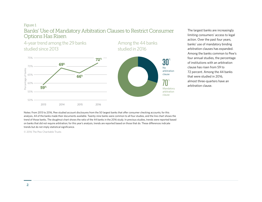## Figure 1 Banks' Use of Mandatory Arbitration Clauses to Restrict Consumer Options Has Risen

4-year trend among the 29 banks studied since 2013

75% 72% 69%70% Percentage of banks Percentage of banks 65% 66% 60% 59% 55% 50% 2013 2014 2015 2016

Among the 44 banks studied in 2016



The largest banks are increasingly limiting consumers' access to legal action. Over the past four years, banks' use of mandatory binding arbitration clauses has expanded. Among the banks common to Pew's four annual studies, the percentage of institutions with an arbitration clause has risen from 59 to 72 percent. Among the 44 banks that were studied in 2016, almost three-quarters have an arbitration clause.

Notes: From 2013 to 2016, Pew studied account disclosures from the 50 largest banks that offer consumer checking accounts; for this analysis, 44 of the banks made their documents available. Twenty-nine banks were common to all four studies, and the line chart shows the trend of those banks. The doughnut chart shows the ratio of the 44 banks in the 2016 study. In previous studies, trends were reported based on banks that did not require arbitration; for this year's analysis, trends are reported based on those that do. These differences indicate trends but do not imply statistical significance.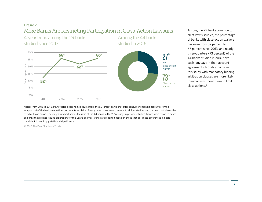## Figure 2 More Banks Are Restricting Participation in Class-Action Lawsuits

4-year trend among the 29 banks studied since 2013





Among the 44 banks

Among the 29 banks common to all of Pew's studies, the percentage of banks with class-action waivers has risen from 52 percent to 66 percent since 2013, and nearly three-quarters (73 percent) of the 44 banks studied in 2016 have such language in their account agreements. Notably, banks in this study with mandatory binding arbitration clauses are more likely than banks without them to limit class actions.5

Notes: From 2013 to 2016, Pew studied account disclosures from the 50 largest banks that offer consumer checking accounts; for this analysis, 44 of the banks made their documents available. Twenty-nine banks were common to all four studies, and the line chart shows the trend of those banks. The doughnut chart shows the ratio of the 44 banks in the 2016 study. In previous studies, trends were reported based on banks that did not require arbitration; for this year's analysis, trends are reported based on those that do. These differences indicate trends but do not imply statistical significance.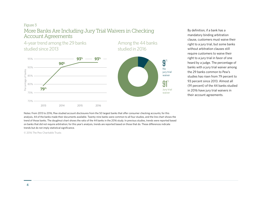#### Figure 3 More Banks Are Including Jury Trial Waivers in Checking Account Agreements

4-year trend among the 29 banks studied since 2013

Among the 44 banks studied in 2016



Jury trial waiver % 91 No jury trial waiver 9 %

By definition, if a bank has a mandatory binding arbitration clause, customers must waive their right to a jury trial, but some banks without arbitration clauses still require customers to waive their right to a jury trial in favor of one heard by a judge. The percentage of banks with a jury trial waiver among the 29 banks common to Pew's studies has risen from 79 percent to 93 percent since 2013. Almost all (91 percent) of the 44 banks studied in 2016 have jury trial waivers in their account agreements.

Notes: From 2013 to 2016, Pew studied account disclosures from the 50 largest banks that offer consumer checking accounts; for this analysis, 44 of the banks made their documents available. Twenty-nine banks were common to all four studies, and the line chart shows the trend of those banks. The doughnut chart shows the ratio of the 44 banks in the 2016 study. In previous studies, trends were reported based on banks that did not require arbitration; for this year's analysis, trends are reported based on those that do. These differences indicate trends but do not imply statistical significance.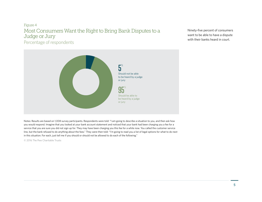#### Figure 4 Most Consumers Want the Right to Bring Bank Disputes to a Judge or Jury Percentage of respondents

Ninety-five percent of consumers want to be able to have a dispute with their banks heard in court.



Notes: Results are based on 1,008 survey participants. Respondents were told: "I am going to describe a situation to you, and then ask how you would respond. Imagine that you looked at your bank account statement and noticed that your bank had been charging you a fee for a service that you are sure you did not sign up for. They may have been charging you this fee for a while now. You called the customer service line, but the bank refused to do anything about the fees." They were then told: "I'm going to read you a list of legal options for what to do next in this situation. For each, just tell me if you should or should not be allowed to do each of the following."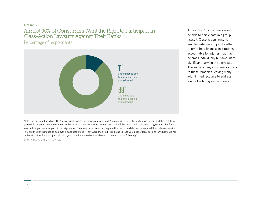## Figure 5 Almost 90% of Consumers Want the Right to Participate in Class-Action Lawsuits Against Their Banks

Percentage of respondents



Almost 9 in 10 consumers want to be able to participate in a group lawsuit. Class-action lawsuits enable customers to join together to try to hold financial institutions accountable for injuries that may be small individually but amount to significant harm in the aggregate. The waivers deny consumers access to these remedies, leaving many with limited recourse to address low-dollar but systemic issues.

Notes: Results are based on 1,008 survey participants. Respondents were told: "I am going to describe a situation to you, and then ask how you would respond. Imagine that you looked at your bank account statement and noticed that your bank had been charging you a fee for a service that you are sure you did not sign up for. They may have been charging you this fee for a while now. You called the customer service line, but the bank refused to do anything about the fees." They were then told: "I'm going to read you a list of legal options for what to do next in this situation. For each, just tell me if you should or should not be allowed to do each of the following."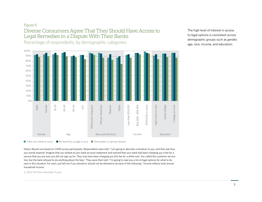## Figure 6 Diverse Consumers Agree That They Should Have Access to Legal Remedies in a Dispute With Their Banks

Percentage of respondents, by demographic categories



The high level of interest in access to legal options is consistent across demographic groups such as gender, age, race, income, and education.

 $\blacksquare$  Take your bank to court  $\blacksquare$  Be heard by a judge or jury  $\blacksquare$  Participate in a group lawsuit

Notes: Results are based on 1,008 survey participants. Respondents were told: "I am going to describe a situation to you, and then ask how you would respond. Imagine that you looked at your bank account statement and noticed that your bank had been charging you a fee for a service that you are sure you did not sign up for. They may have been charging you this fee for a while now. You called the customer service line, but the bank refused to do anything about the fees." They were then told: "I'm going to read you a list of legal options for what to do next in this situation. For each, just tell me if you should or should not be allowed to do each of the following." Income reflects total annual household income.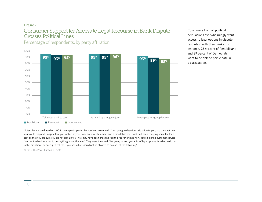#### Figure 7 Consumer Support for Access to Legal Recourse in Bank Dispute Crosses Political Lines

Percentage of respondents, by party affiliation



Consumers from all political persuasions overwhelmingly want access to legal options in dispute resolution with their banks. For instance, 93 percent of Republicans and 89 percent of Democrats want to be able to participate in a class action.

Notes: Results are based on 1,008 survey participants. Respondents were told: "I am going to describe a situation to you, and then ask how you would respond. Imagine that you looked at your bank account statement and noticed that your bank had been charging you a fee for a service that you are sure you did not sign up for. They may have been charging you this fee for a while now. You called the customer service line, but the bank refused to do anything about the fees." They were then told: "I'm going to read you a list of legal options for what to do next in this situation. For each, just tell me if you should or should not be allowed to do each of the following."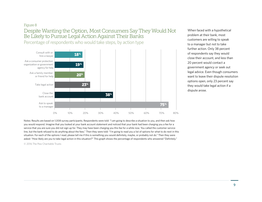## Figure 8 Despite Wanting the Option, Most Consumers Say They Would Not Be Likely to Pursue Legal Action Against Their Banks

Percentage of respondents who would take steps, by action type



When faced with a hypothetical problem at their bank, most customers are willing to speak to a manager but not to take further action. Only 38 percent of respondents say they would close their account, and less than 20 percent would contact a government agency or seek out legal advice. Even though consumers want to leave their dispute resolution options open, only 23 percent say they would take legal action if a dispute arose.

Notes: Results are based on 1,008 survey participants. Respondents were told: "I am going to describe a situation to you, and then ask how you would respond. Imagine that you looked at your bank account statement and noticed that your bank had been charging you a fee for a service that you are sure you did not sign up for. They may have been charging you this fee for a while now. You called the customer service line, but the bank refused to do anything about the fees." Then they were told: "I'm going to read you a list of options for what to do next in this situation. For each of the options I read, please tell me if this is something you would definitely, maybe, or probably not do." Then they were asked: "How likely are you to take legal action in this situation?" This graph shows the percentage of respondents who answered "Definitely."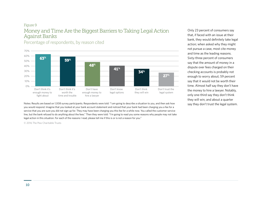#### Figure 9 Money and Time Are the Biggest Barriers to Taking Legal Action Against Banks

 $0\%$ 10% 20% 30% 40% 50% 60% 70% Don't think it's enough money to fight about Don't think it's worth the time and trouble Don't have enough money to hire a lawyer Don't know legal options Don't think they will win Don't trust the legal system 63% 59% 48% 41% 34% 27%

Percentage of respondents, by reason cited

Notes: Results are based on 1,008 survey participants. Respondents were told: "I am going to describe a situation to you, and then ask how say they don't trust the legal system. you would respond. Imagine that you looked at your bank account statement and noticed that your bank had been charging you a fee for a service that you are sure you did not sign up for. They may have been charging you this fee for a while now. You called the customer service line, but the bank refused to do anything about the fees." Then they were told: "I'm going to read you some reasons why people may not take legal action in this situation. For each of the reasons I read, please tell me if this is or is not a reason for you."

© 2016 The Pew Charitable Trusts

Only 23 percent of consumers say that, if faced with an issue at their bank, they would definitely take legal action; when asked why they might not pursue a case, most cite money and time as the leading reasons. Sixty-three percent of consumers say that the amount of money in a dispute over fees charged on their checking accounts is probably not enough to worry about; 59 percent say that it would not be worth their time. Almost half say they don't have the money to hire a lawyer. Notably, only one-third say they don't think they will win, and about a quarter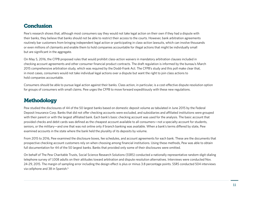## **Conclusion**

Pew's research shows that, although most consumers say they would not take legal action on their own if they had a dispute with their banks, they believe that banks should not be able to restrict their access to the courts. However, bank arbitration agreements routinely bar customers from bringing independent legal action or participating in class-action lawsuits, which can involve thousands or even millions of claimants and enable them to hold companies accountable for illegal actions that might be individually small but are significant in the aggregate.

On May 5, 2016, the CFPB proposed rules that would prohibit class-action waivers in mandatory arbitration clauses included in checking account agreements and other consumer financial product contracts. The draft regulation is informed by the bureau's March 2015 comprehensive arbitration study, which was required by the Dodd-Frank Act. The CFPB's study and this poll make clear that, in most cases, consumers would not take individual legal actions over a dispute but want the right to join class actions to hold companies accountable.

Consumers should be able to pursue legal action against their banks. Class action, in particular, is a cost-effective dispute resolution option for groups of consumers with small claims. Pew urges the CFPB to move forward expeditiously with these new regulations.

## **Methodology**

Pew studied the disclosures of 44 of the 50 largest banks based on domestic deposit volume as tabulated in June 2015 by the Federal Deposit Insurance Corp. Banks that did not offer checking accounts were excluded, and subsidiaries and affiliated institutions were grouped with their parent or with the largest affiliated bank. Each bank's basic checking account was used for the analysis. The basic account that provided checks and debit cards was defined as the cheapest account available to all consumers—not a specialty account for students, seniors, or the military—and one that was not online only if branch banking was available. When a bank's terms differed by state, Pew examined accounts in the state where the bank held the plurality of its deposits by volume.

From 2015 to 2016, Pew examined the disclosure boxes, fee schedules, and account agreements for each bank. These are the documents that prospective checking account customers rely on when choosing among financial institutions. Using these methods, Pew was able to obtain full documentation for 44 of the 50 largest banks. Banks that provided only some of their disclosures were omitted.

On behalf of The Pew Charitable Trusts, Social Science Research Solutions (SSRS) conducted a nationally representative random-digit-dialing telephone survey of 1,008 adults on their attitudes toward arbitration and dispute resolution alternatives. Interviews were conducted Nov. 24-29, 2015. The margin of sampling error including the design effect is plus or minus 3.8 percentage points. SSRS conducted 504 interviews via cellphone and 38 in Spanish.<sup>6</sup>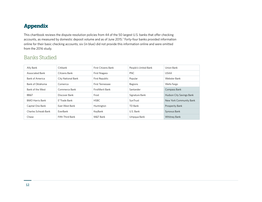# Appendix

This chartbook reviews the dispute resolution policies from 44 of the 50 largest U.S. banks that offer checking accounts, as measured by domestic deposit volume and as of June 2015.<sup>7</sup> Forty-four banks provided information online for their basic checking accounts; six (in blue) did not provide this information online and were omitted from the 2016 study.

## Banks Studied

| Ally Bank              | Citibank           | First Citizens Bank    | People's United Bank | Union Bank               |
|------------------------|--------------------|------------------------|----------------------|--------------------------|
| Associated Bank        | Citizens Bank      | First Niagara          | <b>PNC</b>           | <b>USAA</b>              |
| Bank of America        | City National Bank | First Republic         | Popular              | Webster Bank             |
| Bank of Oklahoma       | Comerica           | <b>First Tennessee</b> | Regions              | Wells Fargo              |
| Bank of the West       | Commerce Bank      | First Merit Bank       | Santander            | Compass Bank             |
| <b>BB&amp;T</b>        | Discover Bank      | Frost                  | Signature Bank       | Hudson City Savings Bank |
| <b>BMO Harris Bank</b> | E*Trade Bank       | <b>HSBC</b>            | SunTrust             | New York Community Bank  |
| Capital One Bank       | East West Bank     | Huntington             | TD Bank              | Prosperity Bank          |
| Charles Schwab Bank    | EverBank           | KeyBank                | U.S. Bank            | Synovus Bank             |
| Chase                  | Fifth Third Bank   | M&T Bank               | Umpqua Bank          | <b>Whitney Bank</b>      |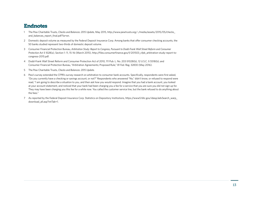#### Endnotes

- 1 The Pew Charitable Trusts, *Checks and Balances: 2015 Update*, May 2015, [http://www.pewtrusts.org/~/media/assets/2015/05/checks\\_](http://www.pewtrusts.org/~/media/assets/2015/05/checks_and_balances_report_final.pdf?la=en) and balances report final.pdf?la=en.
- 2 Domestic deposit volume as measured by the Federal Deposit Insurance Corp. Among banks that offer consumer checking accounts, the 50 banks studied represent two-thirds of domestic deposit volume.
- 3 Consumer Financial Protection Bureau, *Arbitration Study: Report to Congress, Pursuant to Dodd-Frank Wall Street Reform and Consumer Protection Act § 1028(a)*, Section 1: 11, 15–16 (March 2015), [http://files.consumerfinance.gov/f/201503\\_cfpb\\_arbitration-study-report-to](http://files.consumerfinance.gov/f/201503_cfpb_arbitration-study-report-to-congress-2015.pdf)[congress-2015.pdf.](http://files.consumerfinance.gov/f/201503_cfpb_arbitration-study-report-to-congress-2015.pdf)
- 4 Dodd-Frank Wall Street Reform and Consumer Protection Act of 2010, 111 Pub. L. No. 203 §1028(b), 12 U.S.C. § 5518(b); and Consumer Financial Protection Bureau, "Arbitration Agreements; Proposed Rule," 81 Fed. Reg. 32830 (May 2016).
- 5 The Pew Charitable Trusts, *Checks and Balances: 2015 Update*.
- 6 Pew's survey extended the CFPB's survey research on arbitration to consumer bank accounts. Specifically, respondents were first asked, "Do you currently have a checking or savings account, or not?" Respondents who answered "No," didn't know, or refused to respond were read, "I am going to describe a situation to you, and then ask how you would respond. Imagine that you had a bank account, you looked at your account statement, and noticed that your bank had been charging you a fee for a service that you are sure you did not sign up for. They may have been charging you this fee for a while now. You called the customer service line, but the bank refused to do anything about the fees."
- 7 As reported by the Federal Deposit Insurance Corp. Statistics on Depository Institutions, [https://www5.fdic.gov/idasp/advSearch\\_warp\\_](https://www5.fdic.gov/idasp/advSearch_warp_download_all.asp?intTab=1) [download\\_all.asp?intTab=1](https://www5.fdic.gov/idasp/advSearch_warp_download_all.asp?intTab=1).